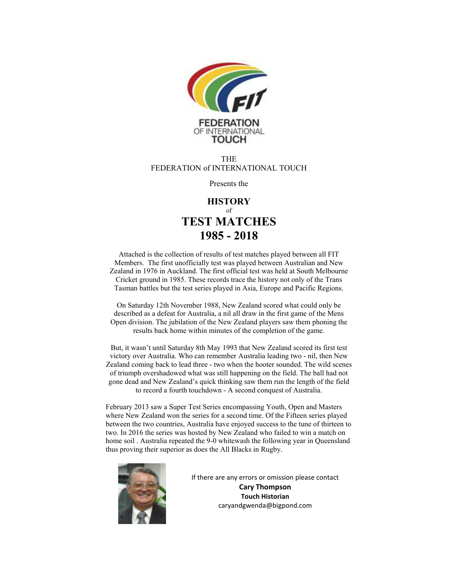

#### **THE** FEDERATION of INTERNATIONAL TOUCH

Presents the

### **HISTORY** of **TEST MATCHES 1985 - 2018**

Attached is the collection of results of test matches played between all FIT Members. The first unofficially test was played between Australian and New Zealand in 1976 in Auckland. The first official test was held at South Melbourne Cricket ground in 1985. These records trace the history not only of the Trans Tasman battles but the test series played in Asia, Europe and Pacific Regions.

On Saturday 12th November 1988, New Zealand scored what could only be described as a defeat for Australia, a nil all draw in the first game of the Mens Open division. The jubilation of the New Zealand players saw them phoning the results back home within minutes of the completion of the game.

But, it wasn't until Saturday 8th May 1993 that New Zealand scored its first test victory over Australia. Who can remember Australia leading two - nil, then New Zealand coming back to lead three - two when the hooter sounded. The wild scenes of triumph overshadowed what was still happening on the field. The ball had not gone dead and New Zealand's quick thinking saw them run the length of the field to record a fourth touchdown - A second conquest of Australia.

February 2013 saw a Super Test Series encompassing Youth, Open and Masters where New Zealand won the series for a second time. Of the Fifteen series played between the two countries, Australia have enjoyed success to the tune of thirteen to two. In 2016 the series was hosted by New Zealand who failed to win a match on home soil. Australia repeated the 9-0 whitewash the following year in Queensland thus proving their superior as does the All Blacks in Rugby.



If there are any errors or omission please contact **Cary Thompson Touch Historian**  caryandgwenda@bigpond.com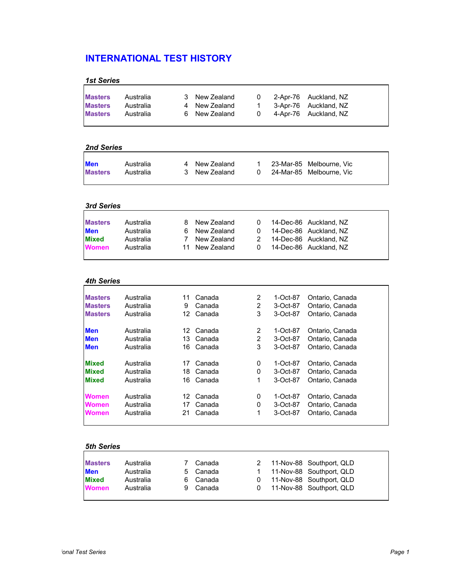| <b>1st Series</b> |  |  |  |
|-------------------|--|--|--|
|                   |  |  |  |

| <b>Masters</b> | Australia | 3 New Zealand | $\Omega$     | 2-Apr-76 Auckland, NZ |
|----------------|-----------|---------------|--------------|-----------------------|
| <b>Masters</b> | Australia | 4 New Zealand | $\mathbf{1}$ | 3-Apr-76 Auckland. NZ |
| <b>Masters</b> | Australia | 6 New Zealand | - 0          | 4-Apr-76 Auckland, NZ |
|                |           |               |              |                       |

### *2nd Series*

| <b>Men</b>     | Australia | 4 New Zealand |  | 23-Mar-85 Melbourne, Vic |
|----------------|-----------|---------------|--|--------------------------|
| <b>Masters</b> | Australia | 3 New Zealand |  | 24-Mar-85 Melbourne. Vic |
|                |           |               |  |                          |

## *3rd Series*

| <b>Masters</b> | Australia | 8 New Zealand  | $\Omega$   | 14-Dec-86 Auckland, NZ |
|----------------|-----------|----------------|------------|------------------------|
| <b>Men</b>     | Australia | 6 New Zealand  |            | 14-Dec-86 Auckland, NZ |
| <b>Mixed</b>   | Australia | 7 New Zealand  | -2         | 14-Dec-86 Auckland, NZ |
| <b>Women</b>   | Australia | 11 New Zealand | $^{\circ}$ | 14-Dec-86 Auckland, NZ |

#### *4th Series*

| <b>Masters</b> | Australia | 11 | Canada | 2 | 1-Oct-87 | Ontario, Canada |
|----------------|-----------|----|--------|---|----------|-----------------|
| <b>Masters</b> | Australia | 9  | Canada | 2 | 3-Oct-87 | Ontario, Canada |
| <b>Masters</b> | Australia | 12 | Canada | 3 | 3-Oct-87 | Ontario, Canada |
| <b>Men</b>     | Australia | 12 | Canada | 2 | 1-Oct-87 | Ontario, Canada |
| <b>Men</b>     | Australia | 13 | Canada | 2 | 3-Oct-87 | Ontario, Canada |
| <b>Men</b>     | Australia | 16 | Canada | 3 | 3-Oct-87 | Ontario, Canada |
| <b>Mixed</b>   | Australia | 17 | Canada | 0 | 1-Oct-87 | Ontario, Canada |
| <b>Mixed</b>   | Australia | 18 | Canada | 0 | 3-Oct-87 | Ontario, Canada |
| <b>Mixed</b>   | Australia | 16 | Canada | 1 | 3-Oct-87 | Ontario, Canada |
| <b>Women</b>   | Australia | 12 | Canada | 0 | 1-Oct-87 | Ontario, Canada |
| <b>Women</b>   | Australia | 17 | Canada | 0 | 3-Oct-87 | Ontario, Canada |
| <b>Women</b>   | Australia | 21 | Canada | 1 | 3-Oct-87 | Ontario, Canada |
|                |           |    |        |   |          |                 |

| <b>Masters</b> | Australia | Canada   | 2        | 11-Nov-88 Southport, QLD |
|----------------|-----------|----------|----------|--------------------------|
| <b>Men</b>     | Australia | 5 Canada |          | 11-Nov-88 Southport, QLD |
| <b>Mixed</b>   | Australia | 6 Canada | $\Omega$ | 11-Nov-88 Southport, QLD |
| <b>Women</b>   | Australia | 9 Canada | $\Omega$ | 11-Nov-88 Southport, QLD |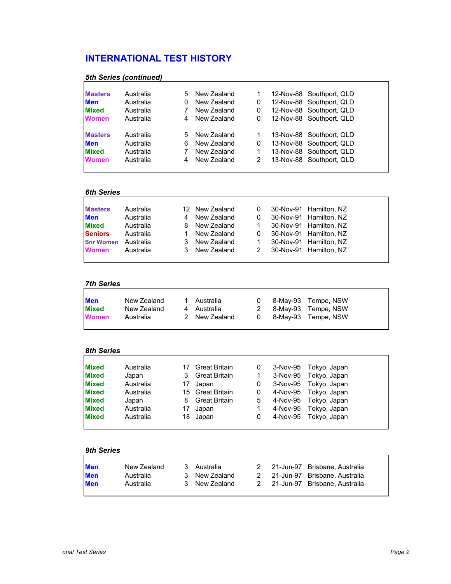| <b>Masters</b> | Australia | 5 | New Zealand |   | 12-Nov-88 Southport, QLD |
|----------------|-----------|---|-------------|---|--------------------------|
| <b>Men</b>     | Australia | 0 | New Zealand | 0 | 12-Nov-88 Southport, QLD |
| <b>Mixed</b>   | Australia |   | New Zealand | 0 | 12-Nov-88 Southport, QLD |
| <b>Women</b>   | Australia | 4 | New Zealand | 0 | 12-Nov-88 Southport, QLD |
| <b>Masters</b> | Australia | 5 | New Zealand |   | 13-Nov-88 Southport, QLD |
| <b>Men</b>     | Australia | 6 | New Zealand | 0 | 13-Nov-88 Southport, QLD |
| <b>Mixed</b>   | Australia |   | New Zealand |   | 13-Nov-88 Southport, QLD |
| <b>Women</b>   | Australia | 4 | New Zealand | 2 | 13-Nov-88 Southport, QLD |

#### *5th Series (continued)*

### *6th Series*

| <b>Masters</b>   | Australia |   | 12 New Zealand | 0            | 30-Nov-91 Hamilton, NZ |
|------------------|-----------|---|----------------|--------------|------------------------|
| <b>Men</b>       | Australia | 4 | New Zealand    | 0            | 30-Nov-91 Hamilton, NZ |
| <b>Mixed</b>     | Australia | 8 | New Zealand    | $\mathbf{1}$ | 30-Nov-91 Hamilton, NZ |
| <b>Seniors</b>   | Australia |   | New Zealand    | 0            | 30-Nov-91 Hamilton, NZ |
| <b>Snr Women</b> | Australia | 3 | New Zealand    |              | 30-Nov-91 Hamilton, NZ |
| <b>Women</b>     | Australia | 3 | New Zealand    | 2            | 30-Nov-91 Hamilton, NZ |

## *7th Series*

| <b>Men</b>   | New Zealand | 1 Australia   |  | 0 8-May-93 Tempe, NSW |
|--------------|-------------|---------------|--|-----------------------|
| <b>Mixed</b> | New Zealand | 4 Australia   |  | 2 8-May-93 Tempe, NSW |
|              | Australia   | 2 New Zealand |  | 0 8-May-93 Tempe, NSW |
| <b>Women</b> |             |               |  |                       |

## *8th Series*

| <b>Mixed</b> | Australia |    | <b>Great Britain</b> | 0 | 3-Nov-95 Tokyo, Japan |
|--------------|-----------|----|----------------------|---|-----------------------|
| <b>Mixed</b> | Japan     | 3  | <b>Great Britain</b> |   | 3-Nov-95 Tokyo, Japan |
| <b>Mixed</b> | Australia | 17 | Japan                | 0 | 3-Nov-95 Tokyo, Japan |
| <b>Mixed</b> | Australia |    | 15 Great Britain     | 0 | 4-Nov-95 Tokyo, Japan |
| <b>Mixed</b> | Japan     | 8  | <b>Great Britain</b> | 5 | 4-Nov-95 Tokyo, Japan |
| <b>Mixed</b> | Australia | 17 | Japan                |   | 4-Nov-95 Tokyo, Japan |
| <b>Mixed</b> | Australia |    | 18 Japan             | 0 | 4-Nov-95 Tokyo, Japan |

| <b>Men</b><br><b>Men</b> | New Zealand<br>Australia | 3 Australia<br>3 New Zealand |  | 2 21-Jun-97 Brisbane. Australia<br>2 21-Jun-97 Brisbane. Australia |
|--------------------------|--------------------------|------------------------------|--|--------------------------------------------------------------------|
| <b>Men</b>               | Australia                | 3 New Zealand                |  | 2 21-Jun-97 Brisbane. Australia                                    |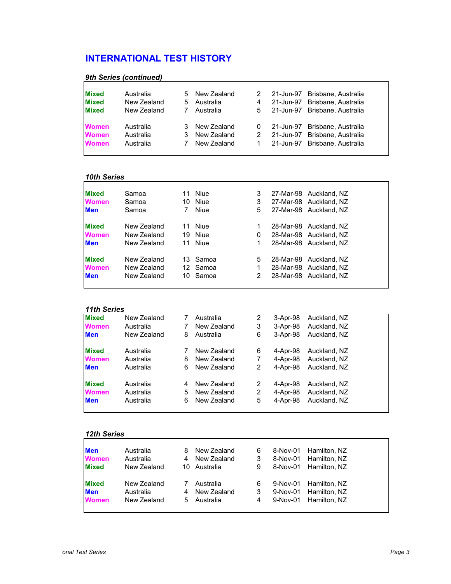| 9th Series (continued) |
|------------------------|
|                        |

| <b>Mixed</b> | Australia   |    | 5 New Zealand | $\mathcal{P}$ | 21-Jun-97 | Brisbane. Australia           |
|--------------|-------------|----|---------------|---------------|-----------|-------------------------------|
| <b>Mixed</b> | New Zealand | 5. | Australia     | 4             |           | 21-Jun-97 Brisbane, Australia |
| <b>Mixed</b> | New Zealand |    | Australia     | 5             |           | 21-Jun-97 Brisbane, Australia |
| <b>Women</b> | Australia   | 3  | New Zealand   | 0             | 21-Jun-97 | Brisbane, Australia           |
| <b>Women</b> | Australia   | 3. | New Zealand   | 2             |           | 21-Jun-97 Brisbane, Australia |
| <b>Women</b> | Australia   |    | New Zealand   |               |           | 21-Jun-97 Brisbane, Australia |

### *10th Series*

| <b>Mixed</b> | Samoa       | Niue<br>11        | 3<br>27-Mar-98 Auckland, NZ |
|--------------|-------------|-------------------|-----------------------------|
| <b>Women</b> | Samoa       | <b>Niue</b><br>10 | 3<br>27-Mar-98 Auckland, NZ |
| <b>Men</b>   | Samoa       | Niue<br>7         | 5<br>27-Mar-98 Auckland, NZ |
| <b>Mixed</b> | New Zealand | Niue<br>11        | 28-Mar-98 Auckland, NZ<br>1 |
| <b>Women</b> | New Zealand | Niue<br>19        | 28-Mar-98 Auckland, NZ<br>0 |
| <b>Men</b>   | New Zealand | Niue<br>11        | 28-Mar-98 Auckland, NZ<br>1 |
| <b>Mixed</b> | New Zealand | Samoa<br>13.      | 5<br>28-Mar-98 Auckland, NZ |
| <b>Women</b> | New Zealand | 12 Samoa          | 28-Mar-98 Auckland, NZ<br>1 |
| <b>Men</b>   | New Zealand | Samoa<br>10       | 2<br>28-Mar-98 Auckland, NZ |
|              |             |                   |                             |

#### *11th Series*

| <b>Mixed</b> | New Zealand | 7 | Australia   | 2 | 3-Apr-98 | Auckland, NZ |  |
|--------------|-------------|---|-------------|---|----------|--------------|--|
| <b>Women</b> | Australia   |   | New Zealand | 3 | 3-Apr-98 | Auckland, NZ |  |
| <b>Men</b>   | New Zealand | 8 | Australia   | 6 | 3-Apr-98 | Auckland, NZ |  |
| <b>Mixed</b> | Australia   |   | New Zealand | 6 | 4-Apr-98 | Auckland, NZ |  |
| <b>Women</b> | Australia   | 8 | New Zealand | 7 | 4-Apr-98 | Auckland, NZ |  |
| <b>Men</b>   | Australia   | 6 | New Zealand | 2 | 4-Apr-98 | Auckland, NZ |  |
| <b>Mixed</b> | Australia   | 4 | New Zealand | 2 | 4-Apr-98 | Auckland, NZ |  |
| <b>Women</b> | Australia   | 5 | New Zealand | 2 | 4-Apr-98 | Auckland, NZ |  |
| <b>Men</b>   | Australia   | 6 | New Zealand | 5 | 4-Apr-98 | Auckland, NZ |  |
|              |             |   |             |   |          |              |  |

| <b>Men</b>   | Australia   | 8 | New Zealand  | 6 | 8-Nov-01 | Hamilton, NZ |
|--------------|-------------|---|--------------|---|----------|--------------|
| <b>Women</b> | Australia   | 4 | New Zealand  | 3 | 8-Nov-01 | Hamilton, NZ |
| <b>Mixed</b> | New Zealand |   | 10 Australia | 9 | 8-Nov-01 | Hamilton, NZ |
| <b>Mixed</b> | New Zealand |   | Australia    | 6 | 9-Nov-01 | Hamilton, NZ |
| <b>Men</b>   | Australia   | 4 | New Zealand  | 3 | 9-Nov-01 | Hamilton, NZ |
| <b>Women</b> | New Zealand | 5 | Australia    | 4 | 9-Nov-01 | Hamilton, NZ |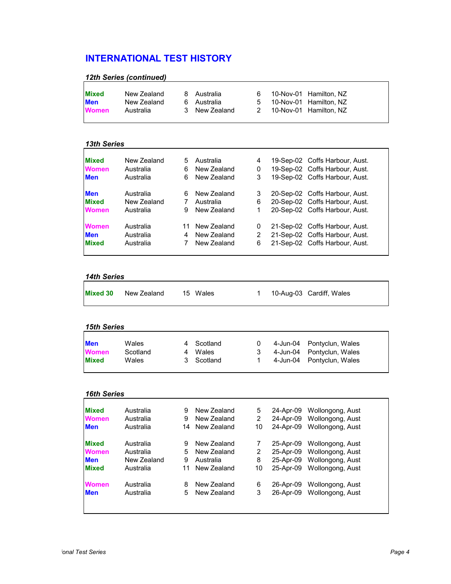| 12th Series (continued) |  |
|-------------------------|--|
|-------------------------|--|

#### *13th Series*

| <b>Mixed</b> | New Zealand | 5  | Australia   | 4 | 19-Sep-02 Coffs Harbour, Aust. |
|--------------|-------------|----|-------------|---|--------------------------------|
| <b>Women</b> | Australia   | 6  | New Zealand | 0 | 19-Sep-02 Coffs Harbour, Aust. |
| <b>Men</b>   | Australia   | 6  | New Zealand | 3 | 19-Sep-02 Coffs Harbour, Aust. |
| <b>Men</b>   | Australia   | 6  | New Zealand | 3 | 20-Sep-02 Coffs Harbour, Aust. |
| <b>Mixed</b> | New Zealand | 7  | Australia   | 6 | 20-Sep-02 Coffs Harbour, Aust. |
| <b>Women</b> | Australia   | 9  | New Zealand | 1 | 20-Sep-02 Coffs Harbour, Aust. |
| <b>Women</b> | Australia   | 11 | New Zealand | 0 | 21-Sep-02 Coffs Harbour, Aust. |
| <b>Men</b>   | Australia   | 4  | New Zealand | 2 | 21-Sep-02 Coffs Harbour, Aust. |
| <b>Mixed</b> | Australia   |    | New Zealand | 6 | 21-Sep-02 Coffs Harbour, Aust. |
|              |             |    |             |   |                                |

## *14th Series*

| <b>Mixed 30</b> New Zealand |  | 15 Wales |  |  | 1 10-Aug-03 Cardiff, Wales |
|-----------------------------|--|----------|--|--|----------------------------|
|-----------------------------|--|----------|--|--|----------------------------|

| <b>15th Series</b> |          |  |            |   |  |                           |  |  |  |  |
|--------------------|----------|--|------------|---|--|---------------------------|--|--|--|--|
| <b>Men</b>         | Wales    |  |            |   |  |                           |  |  |  |  |
|                    |          |  | Scotland   |   |  | 4-Jun-04 Pontyclun, Wales |  |  |  |  |
| <b>Women</b>       | Scotland |  | Wales      | 3 |  | 4-Jun-04 Pontyclun, Wales |  |  |  |  |
| <b>Mixed</b>       | Wales    |  | 3 Scotland |   |  | 4-Jun-04 Pontyclun, Wales |  |  |  |  |

| <b>Mixed</b> | Australia   | 9  | New Zealand | 5  | 24-Apr-09 | Wollongong, Aust |
|--------------|-------------|----|-------------|----|-----------|------------------|
| <b>Women</b> | Australia   | 9  | New Zealand | 2  | 24-Apr-09 | Wollongong, Aust |
| <b>Men</b>   | Australia   | 14 | New Zealand | 10 | 24-Apr-09 | Wollongong, Aust |
| <b>Mixed</b> | Australia   | 9  | New Zealand | 7  | 25-Apr-09 | Wollongong, Aust |
| <b>Women</b> | Australia   | 5  | New Zealand | 2  | 25-Apr-09 | Wollongong, Aust |
| <b>Men</b>   | New Zealand | 9  | Australia   | 8  | 25-Apr-09 | Wollongong, Aust |
| <b>Mixed</b> | Australia   | 11 | New Zealand | 10 | 25-Apr-09 | Wollongong, Aust |
| <b>Women</b> | Australia   | 8  | New Zealand | 6  | 26-Apr-09 | Wollongong, Aust |
| <b>Men</b>   | Australia   | 5  | New Zealand | 3  | 26-Apr-09 | Wollongong, Aust |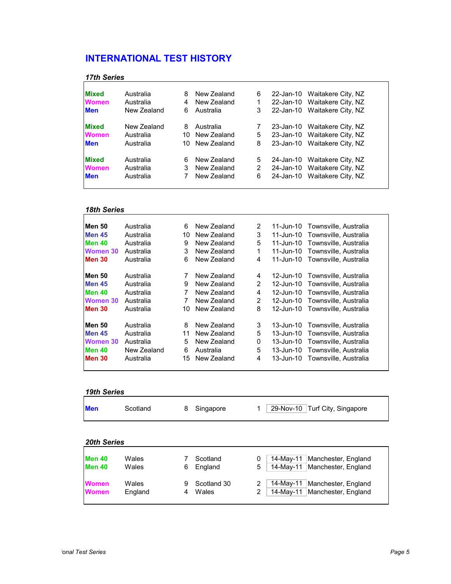## *17th Series*

| <b>Mixed</b> | Australia   | 8 | New Zealand    | 6 | 22-Jan-10 Waitakere City, NZ |
|--------------|-------------|---|----------------|---|------------------------------|
| <b>Women</b> | Australia   | 4 | New Zealand    | 1 | 22-Jan-10 Waitakere City, NZ |
| <b>Men</b>   | New Zealand | 6 | Australia      | 3 | 22-Jan-10 Waitakere City, NZ |
| <b>Mixed</b> | New Zealand | 8 | Australia      | 7 | 23-Jan-10 Waitakere City, NZ |
| <b>Women</b> | Australia   |   | 10 New Zealand | 5 | 23-Jan-10 Waitakere City, NZ |
| <b>Men</b>   | Australia   |   | 10 New Zealand | 8 | 23-Jan-10 Waitakere City, NZ |
| <b>Mixed</b> | Australia   | 6 | New Zealand    | 5 | 24-Jan-10 Waitakere City, NZ |
| <b>Women</b> | Australia   | 3 | New Zealand    | 2 | 24-Jan-10 Waitakere City, NZ |
| <b>Men</b>   | Australia   |   | New Zealand    | 6 | 24-Jan-10 Waitakere City, NZ |
|              |             |   |                |   |                              |

# *18th Series*

| <b>Men 50</b>   | Australia   | 6  | New Zealand | 2              | 11-Jun-10 | Townsville, Australia |
|-----------------|-------------|----|-------------|----------------|-----------|-----------------------|
| <b>Men 45</b>   | Australia   | 10 | New Zealand | 3              | 11-Jun-10 | Townsville, Australia |
| <b>Men 40</b>   | Australia   | 9  | New Zealand | 5              | 11-Jun-10 | Townsville, Australia |
| Women 30        | Australia   | 3  | New Zealand | 1              | 11-Jun-10 | Townsville, Australia |
| <b>Men 30</b>   | Australia   | 6  | New Zealand | 4              | 11-Jun-10 | Townsville, Australia |
| <b>Men 50</b>   | Australia   | 7  | New Zealand | 4              | 12-Jun-10 | Townsville, Australia |
| <b>Men 45</b>   | Australia   | 9  | New Zealand | $\overline{2}$ | 12-Jun-10 | Townsville, Australia |
| <b>Men 40</b>   | Australia   | 7  | New Zealand | 4              | 12-Jun-10 | Townsville, Australia |
| Women 30        | Australia   | 7  | New Zealand | 2              | 12-Jun-10 | Townsville, Australia |
| <b>Men 30</b>   | Australia   | 10 | New Zealand | 8              | 12-Jun-10 | Townsville, Australia |
| <b>Men 50</b>   | Australia   | 8  | New Zealand | 3              | 13-Jun-10 | Townsville, Australia |
| <b>Men 45</b>   | Australia   | 11 | New Zealand | 5              | 13-Jun-10 | Townsville, Australia |
| <b>Women 30</b> | Australia   | 5  | New Zealand | 0              | 13-Jun-10 | Townsville, Australia |
| <b>Men 40</b>   | New Zealand | 6  | Australia   | 5              | 13-Jun-10 | Townsville, Australia |
| <b>Men 30</b>   | Australia   | 15 | New Zealand | 4              | 13-Jun-10 | Townsville, Australia |
|                 |             |    |             |                |           |                       |

#### *19th Series*

| <b>Men</b> | Scotland | 8 | Singapore | 29-Nov-10 Turf City, Singapore |
|------------|----------|---|-----------|--------------------------------|
|            |          |   |           |                                |

| <b>Men 40</b><br><b>Men 40</b> | Wales<br>Wales   | 6 | Scotland<br>England  | $\Omega$<br>$5^{\circ}$ | 14-Mav-11<br>Manchester, England<br>14-May-11   Manchester, England  |
|--------------------------------|------------------|---|----------------------|-------------------------|----------------------------------------------------------------------|
| <b>Women</b><br><b>Women</b>   | Wales<br>England |   | Scotland 30<br>Wales | 2<br>2                  | Manchester, England<br>14-May-11<br>Manchester, England<br>14-May-11 |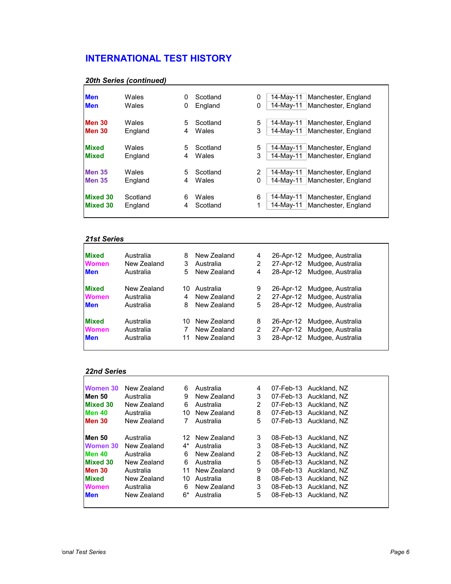| <b>Men</b>      | Wales    | 0 | Scotland | 0 | 14-May-11<br>Manchester, England |
|-----------------|----------|---|----------|---|----------------------------------|
| <b>Men</b>      | Wales    | 0 | England  | 0 | Manchester, England<br>14-May-11 |
| <b>Men 30</b>   | Wales    | 5 | Scotland | 5 | Manchester, England<br>14-May-11 |
| <b>Men 30</b>   | England  | 4 | Wales    | 3 | Manchester, England<br>14-May-11 |
| <b>Mixed</b>    | Wales    | 5 | Scotland | 5 | 14-May-11<br>Manchester, England |
| <b>Mixed</b>    | England  | 4 | Wales    | 3 | Manchester, England<br>14-Mav-11 |
| <b>Men 35</b>   | Wales    | 5 | Scotland | 2 | 14-May-11<br>Manchester, England |
| <b>Men 35</b>   | England  | 4 | Wales    | 0 | Manchester, England<br>14-May-11 |
| <b>Mixed 30</b> | Scotland | 6 | Wales    | 6 | 14-May-11<br>Manchester, England |
| <b>Mixed 30</b> | England  | 4 | Scotland | 1 | 14-Mav-11<br>Manchester, England |

### *20th Series (continued)*

### *21st Series*

| <b>Mixed</b> | Australia   | 8   | New Zealand    | 4 |           | 26-Apr-12 Mudgee, Australia |
|--------------|-------------|-----|----------------|---|-----------|-----------------------------|
| <b>Women</b> | New Zealand | 3   | Australia      | 2 |           | 27-Apr-12 Mudgee, Australia |
| <b>Men</b>   | Australia   | 5.  | New Zealand    | 4 |           | 28-Apr-12 Mudgee, Australia |
| <b>Mixed</b> | New Zealand | 10. | Australia      | 9 |           | 26-Apr-12 Mudgee, Australia |
| <b>Women</b> | Australia   | 4   | New Zealand    | 2 |           | 27-Apr-12 Mudgee, Australia |
| <b>Men</b>   | Australia   | 8   | New Zealand    | 5 |           | 28-Apr-12 Mudgee, Australia |
| <b>Mixed</b> | Australia   |     | 10 New Zealand | 8 |           | 26-Apr-12 Mudgee, Australia |
| <b>Women</b> | Australia   |     | New Zealand    | 2 |           | 27-Apr-12 Mudgee, Australia |
| <b>Men</b>   | Australia   | 11  | New Zealand    | 3 | 28-Apr-12 | Mudgee, Australia           |
|              |             |     |                |   |           |                             |

### *22nd Series*

| Women 30        | New Zealand | 6  | Australia      | 4 | 07-Feb-13 Auckland, NZ |
|-----------------|-------------|----|----------------|---|------------------------|
| Men 50          | Australia   | 9  | New Zealand    | 3 | 07-Feb-13 Auckland, NZ |
| Mixed 30        | New Zealand | 6  | Australia      | 2 | 07-Feb-13 Auckland, NZ |
| <b>Men 40</b>   | Australia   | 10 | New Zealand    | 8 | 07-Feb-13 Auckland, NZ |
| <b>Men 30</b>   | New Zealand | 7  | Australia      | 5 | 07-Feb-13 Auckland, NZ |
| <b>Men 50</b>   | Australia   |    | 12 New Zealand | 3 | 08-Feb-13 Auckland, NZ |
| Women 30        | New Zealand | 4* | Australia      | 3 | 08-Feb-13 Auckland, NZ |
| Men 40          | Australia   | 6  | New Zealand    | 2 | 08-Feb-13 Auckland, NZ |
| <b>Mixed 30</b> | New Zealand | 6  | Australia      | 5 | 08-Feb-13 Auckland, NZ |
| <b>Men 30</b>   | Australia   | 11 | New Zealand    | 9 | 08-Feb-13 Auckland, NZ |
| Mixed           | New Zealand | 10 | Australia      | 8 | 08-Feb-13 Auckland, NZ |
| Women           | Australia   | 6  | New Zealand    | 3 | 08-Feb-13 Auckland, NZ |
| Men             | New Zealand | 6* | Australia      | 5 | 08-Feb-13 Auckland, NZ |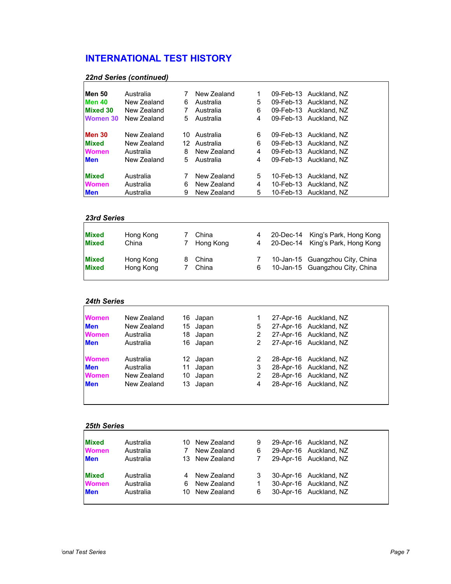| <b>22nd Series (continued)</b> |  |  |
|--------------------------------|--|--|
|                                |  |  |

| Men 50          | Australia   |    | New Zealand  |   | 09-Feb-13 Auckland, NZ |
|-----------------|-------------|----|--------------|---|------------------------|
| Men 40          | New Zealand | 6  | Australia    | 5 | 09-Feb-13 Auckland, NZ |
| <b>Mixed 30</b> | New Zealand | 7  | Australia    | 6 | 09-Feb-13 Auckland, NZ |
| Women 30        | New Zealand | 5  | Australia    | 4 | 09-Feb-13 Auckland, NZ |
| <b>Men 30</b>   | New Zealand | 10 | Australia    | 6 | 09-Feb-13 Auckland, NZ |
| <b>Mixed</b>    | New Zealand |    | 12 Australia | 6 | 09-Feb-13 Auckland, NZ |
| <b>Women</b>    | Australia   | 8  | New Zealand  | 4 | 09-Feb-13 Auckland, NZ |
| <b>Men</b>      | New Zealand | 5  | Australia    | 4 | 09-Feb-13 Auckland, NZ |
| <b>Mixed</b>    | Australia   |    | New Zealand  | 5 | 10-Feb-13 Auckland, NZ |
| <b>Women</b>    | Australia   | 6  | New Zealand  | 4 | 10-Feb-13 Auckland, NZ |
| <b>Men</b>      | Australia   | 9  | New Zealand  | 5 | 10-Feb-13 Auckland, NZ |

#### *23rd Series*

| <b>Mixed</b><br><b>Mixed</b> | Hong Kong<br>China | China<br>7 Hong Kong |   | 20-Dec-14 King's Park, Hong Kong<br>4 20-Dec-14 King's Park, Hong Kong |
|------------------------------|--------------------|----------------------|---|------------------------------------------------------------------------|
| <b>Mixed</b>                 | Hong Kong          | China                |   | 10-Jan-15 Guangzhou City, China                                        |
| <b>Mixed</b>                 | Hong Kong          | China                | 6 | 10-Jan-15 Guangzhou City, China                                        |

## *24th Series*

| <b>Women</b> | New Zealand |     | 16 Japan |   | 27-Apr-16 Auckland, NZ |
|--------------|-------------|-----|----------|---|------------------------|
| <b>Men</b>   | New Zealand |     | 15 Japan | 5 | 27-Apr-16 Auckland, NZ |
| <b>Women</b> | Australia   |     | 18 Japan | 2 | 27-Apr-16 Auckland, NZ |
| <b>Men</b>   | Australia   |     | 16 Japan | 2 | 27-Apr-16 Auckland, NZ |
| <b>Women</b> | Australia   |     | 12 Japan | 2 | 28-Apr-16 Auckland, NZ |
| <b>Men</b>   | Australia   | 11  | Japan    | 3 | 28-Apr-16 Auckland, NZ |
| <b>Women</b> | New Zealand | 10. | Japan    | 2 | 28-Apr-16 Auckland, NZ |
| <b>Men</b>   | New Zealand |     | 13 Japan | 4 | 28-Apr-16 Auckland, NZ |

| <b>Mixed</b> | Australia |   | 10 New Zealand | 9 | 29-Apr-16 Auckland, NZ |
|--------------|-----------|---|----------------|---|------------------------|
| <b>Women</b> | Australia |   | New Zealand    | 6 | 29-Apr-16 Auckland, NZ |
| <b>Men</b>   | Australia |   | 13 New Zealand |   | 29-Apr-16 Auckland, NZ |
| <b>Mixed</b> | Australia |   | New Zealand    | 3 | 30-Apr-16 Auckland, NZ |
| <b>Women</b> | Australia | 6 | New Zealand    | 1 | 30-Apr-16 Auckland, NZ |
| <b>Men</b>   | Australia |   | 10 New Zealand | 6 | 30-Apr-16 Auckland, NZ |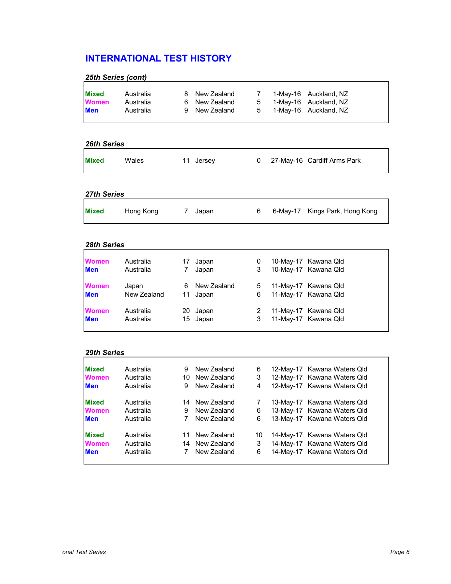| 25th Series (cont)           |                        |          |                            |        |                      |                              |
|------------------------------|------------------------|----------|----------------------------|--------|----------------------|------------------------------|
| <b>Mixed</b><br><b>Women</b> | Australia<br>Australia | 8.<br>6. | New Zealand<br>New Zealand | 7<br>5 | 1-May-16<br>1-May-16 | Auckland, NZ<br>Auckland, NZ |
| Men                          | Australia              | 9        | New Zealand                | 5      | 1-May-16             | Auckland, NZ                 |
|                              |                        |          |                            |        |                      |                              |
| <b>26th Series</b>           |                        |          |                            |        |                      |                              |
| Mixed                        | Wales                  |          | 11 Jersey                  | 0      |                      | 27-May-16 Cardiff Arms Park  |
| 27th Series                  |                        |          |                            |        |                      |                              |
|                              |                        |          |                            |        |                      |                              |
| Mixed                        | Hong Kong              | 7        | Japan                      | 6      | 6-May-17             | Kings Park, Hong Kong        |
|                              |                        |          |                            |        |                      |                              |
| 28th Series                  |                        |          |                            |        |                      |                              |
| Women                        | Australia              | 17       | Japan                      | 0      |                      | 10-May-17 Kawana Qld         |
| <b>Men</b>                   | Australia              | 7        | Japan                      | 3      |                      | 10-May-17 Kawana Qld         |
| Women                        | Japan                  | 6.       | New Zealand                | 5.     |                      | 11-May-17 Kawana Qld         |
| Men                          | New Zealand            | 11       | Japan                      | 6      |                      | 11-May-17 Kawana Qld         |
| Women                        | Australia              | 20       | Japan                      | 2      |                      | 11-May-17 Kawana Qld         |
| Men                          | Australia              | 15       | Japan                      | 3      |                      | 11-May-17 Kawana Qld         |
|                              |                        |          |                            |        |                      |                              |
| <b>29th Series</b>           |                        |          |                            |        |                      |                              |
| <b>Mixed</b>                 | Australia              | 9        | New Zealand                | 6.     |                      | 12-May-17 Kawana Waters Qld  |
| Women                        | Australia              |          | 10 New Zealand             | 3      |                      | 12-May-17 Kawana Waters Qld  |
| Men                          | Australia              | 9        | New Zealand                | 4      |                      | 12-May-17 Kawana Waters Qld  |
| Mixed                        | Australia              |          | 14 New Zealand             | 7      |                      | 13-May-17 Kawana Waters Qld  |
| <b>Women</b>                 | Australia              | 9        | New Zealand                | 6      |                      | 13-May-17 Kawana Waters Qld  |
| <b>Men</b>                   | Australia              | 7        | New Zealand                | 6      |                      | 13-May-17 Kawana Waters Qld  |
| <b>Mixed</b>                 | Australia              | 11       | New Zealand                | 10     |                      | 14-May-17 Kawana Waters Qld  |
| Women                        | Australia              | 14       | New Zealand                | 3      |                      | 14-May-17 Kawana Waters Qld  |
| <b>Men</b>                   | Australia              | 7        | New Zealand                | 6      |                      | 14-May-17 Kawana Waters Qld  |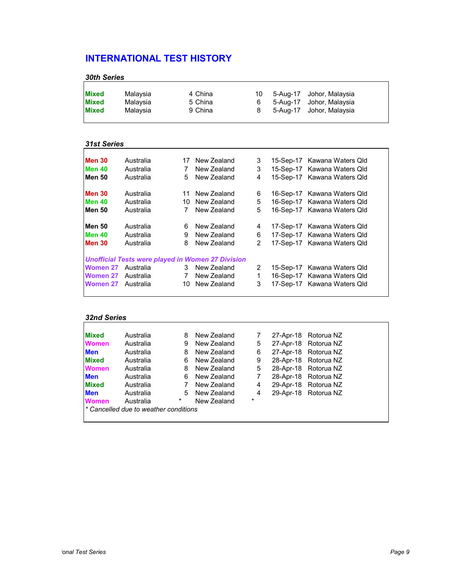## *30th Series*

| <b>Mixed</b><br>4 China<br>Malavsia<br><b>Mixed</b><br>5 China<br>Malavsia<br><b>Mixed</b><br>9 China<br>Malavsia | 5-Aug-17 Johor, Malaysia<br>10<br>5-Aug-17 Johor, Malaysia<br>6.<br>5-Aug-17 Johor, Malaysia<br>8. |  |
|-------------------------------------------------------------------------------------------------------------------|----------------------------------------------------------------------------------------------------|--|
|-------------------------------------------------------------------------------------------------------------------|----------------------------------------------------------------------------------------------------|--|

#### *31st Series*

| <b>Men 30</b>      | Australia                                                |     | 17 New Zealand | 3             | 15-Sep-17 Kawana Waters Qld |
|--------------------|----------------------------------------------------------|-----|----------------|---------------|-----------------------------|
| Men 40             | Australia                                                | 7   | New Zealand    | 3             | 15-Sep-17 Kawana Waters Qld |
| Men 50             | Australia                                                | 5   | New Zealand    | 4             | 15-Sep-17 Kawana Waters Qld |
| <b>Men 30</b>      | Australia                                                |     | 11 New Zealand | 6             | 16-Sep-17 Kawana Waters Qld |
| <b>Men 40</b>      | Australia                                                | 10. | New Zealand    | 5             | 16-Sep-17 Kawana Waters Qld |
| <b>Men 50</b>      | Australia                                                | 7   | New Zealand    | 5             | 16-Sep-17 Kawana Waters Qld |
| <b>Men 50</b>      | Australia                                                | 6   | New Zealand    | 4             | 17-Sep-17 Kawana Waters Qld |
| <b>Men 40</b>      | Australia                                                | 9   | New Zealand    | 6             | 17-Sep-17 Kawana Waters Qld |
| <b>Men 30</b>      | Australia                                                | 8   | New Zealand    | $\mathcal{P}$ | 17-Sep-17 Kawana Waters Qld |
|                    | <b>Unofficial Tests were played in Women 27 Division</b> |     |                |               |                             |
| <b>Women 27</b>    | Australia                                                | 3   | New Zealand    | 2             | 15-Sep-17 Kawana Waters Qld |
| Women 27           | Australia                                                | 7   | New Zealand    | 1             | 16-Sep-17 Kawana Waters Qld |
| Women 27 Australia |                                                          |     | 10 New Zealand | 3             | 17-Sep-17 Kawana Waters Qld |

## *32nd Series*

| <b>Mixed</b> | Australia                             | 8      | New Zealand |        | 27-Apr-18 Rotorua NZ |
|--------------|---------------------------------------|--------|-------------|--------|----------------------|
| <b>Women</b> | Australia                             | 9      | New Zealand | 5      | 27-Apr-18 Rotorua NZ |
| <b>Men</b>   | Australia                             | 8      | New Zealand | 6      | 27-Apr-18 Rotorua NZ |
| <b>Mixed</b> | Australia                             | 6      | New Zealand | 9      | 28-Apr-18 Rotorua NZ |
| <b>Women</b> | Australia                             | 8      | New Zealand | 5      | 28-Apr-18 Rotorua NZ |
| <b>Men</b>   | Australia                             | 6      | New Zealand |        | 28-Apr-18 Rotorua NZ |
| <b>Mixed</b> | Australia                             | 7      | New Zealand | 4      | 29-Apr-18 Rotorua NZ |
| <b>Men</b>   | Australia                             | 5.     | New Zealand | 4      | 29-Apr-18 Rotorua NZ |
| <b>Women</b> | Australia                             | $\ast$ | New Zealand | $\ast$ |                      |
|              | * Cancelled due to weather conditions |        |             |        |                      |